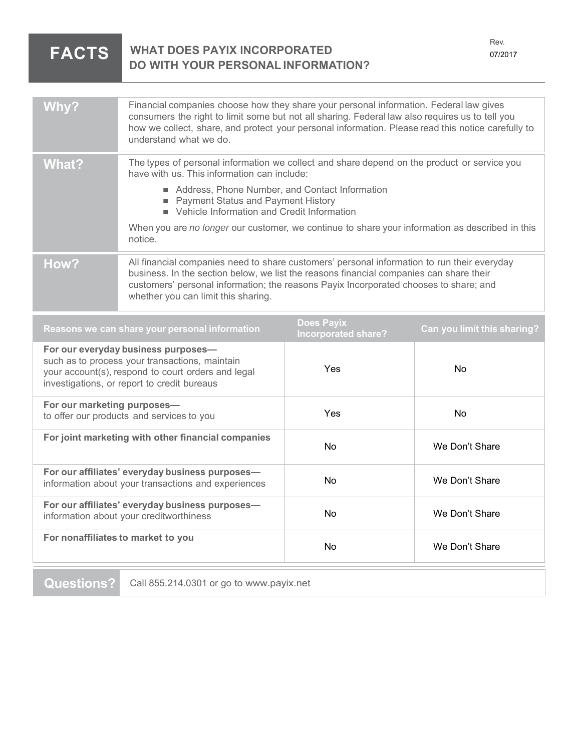| <b>FACTS</b> | KGV.<br><b>WHAT DOES PAYIX INCORPORATED</b><br>07/2017<br><b>DO WITH YOUR PERSONAL INFORMATION?</b>                                                                                                                                                                                                                       |  |
|--------------|---------------------------------------------------------------------------------------------------------------------------------------------------------------------------------------------------------------------------------------------------------------------------------------------------------------------------|--|
|              |                                                                                                                                                                                                                                                                                                                           |  |
| Why?         | Financial companies choose how they share your personal information. Federal law gives<br>consumers the right to limit some but not all sharing. Federal law also requires us to tell you<br>how we collect, share, and protect your personal information. Please read this notice carefully to<br>understand what we do. |  |
| <b>What?</b> | The types of personal information we collect and share depend on the product or service you<br>have with us. This information can include:                                                                                                                                                                                |  |
|              | Address, Phone Number, and Contact Information<br>Payment Status and Payment History<br>Vehicle Information and Credit Information                                                                                                                                                                                        |  |
|              | When you are no longer our customer, we continue to share your information as described in this<br>notice.                                                                                                                                                                                                                |  |
| How?         | All financial companies need to share customers' personal information to run their everyday<br>business. In the section below, we list the reasons financial companies can share their<br>customers' personal information; the reasons Payix Incorporated chooses to share; and<br>whether you can limit this sharing.    |  |

Rev.

| Reasons we can share your personal information                                                                                                                                             | <b>Does Payix</b><br><b>Incorporated share?</b> | Can you limit this sharing? |
|--------------------------------------------------------------------------------------------------------------------------------------------------------------------------------------------|-------------------------------------------------|-----------------------------|
| For our everyday business purposes-<br>such as to process your transactions, maintain<br>your account(s), respond to court orders and legal<br>investigations, or report to credit bureaus | Yes                                             | No.                         |
| For our marketing purposes-<br>to offer our products and services to you                                                                                                                   | <b>Yes</b>                                      | No.                         |
| For joint marketing with other financial companies                                                                                                                                         | <b>No</b>                                       | We Don't Share              |
| For our affiliates' everyday business purposes-<br>information about your transactions and experiences                                                                                     | No.                                             | We Don't Share              |
| For our affiliates' everyday business purposes-<br>information about your creditworthiness                                                                                                 | No.                                             | We Don't Share              |
| For nonaffiliates to market to you                                                                                                                                                         | No.                                             | We Don't Share              |

**Questions?** Call 855.214.0301 or go to www.payix.net